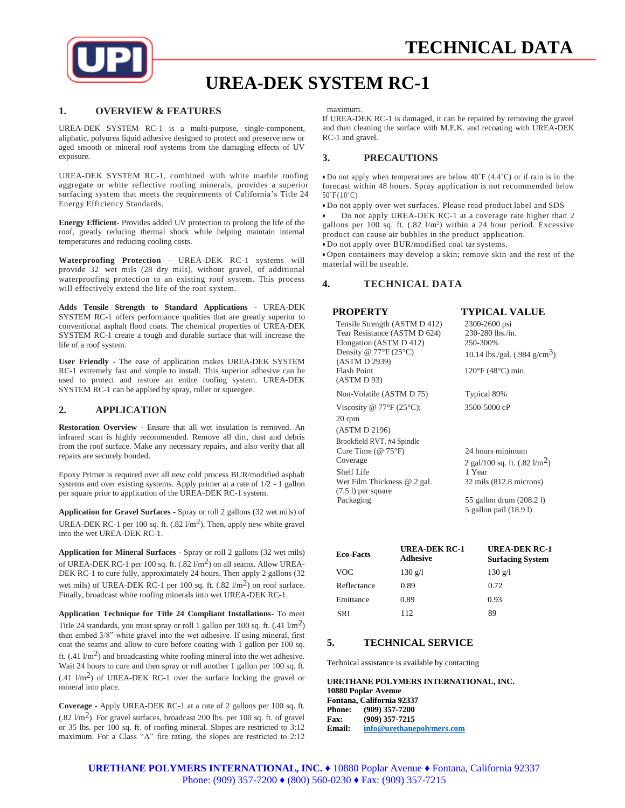

# **UREA-DEK SYSTEM RC-1**

#### **1. OVERVIEW & FEATURES**

UREA-DEK SYSTEM RC-1 is a multi-purpose, single-component, aliphatic, polyurea liquid adhesive designed to protect and preserve new or aged smooth or mineral roof systems from the damaging effects of UV exposure.

UREA-DEK SYSTEM RC-1, combined with white marble roofing aggregate or white reflective roofing minerals, provides a superior surfacing system that meets the requirements of California's Title 24 Energy Efficiency Standards.

**Energy Efficient**- Provides added UV protection to prolong the life of the roof, greatly reducing thermal shock while helping maintain internal temperatures and reducing cooling costs.

**Waterproofing Protection** - UREA-DEK RC-1 systems will provide 32 wet mils (28 dry mils), without gravel, of additional waterproofing protection to an existing roof system. This process will effectively extend the life of the roof system.

**Adds Tensile Strength to Standard Applications** - UREA-DEK SYSTEM RC-1 offers performance qualities that are greatly superior to conventional asphalt flood coats. The chemical properties of UREA-DEK SYSTEM RC-1 create a tough and durable surface that will increase the life of a roof system.

**User Friendly** - The ease of application makes UREA-DEK SYSTEM RC-1 extremely fast and simple to install. This superior adhesive can be used to protect and restore an entire roofing system. UREA-DEK SYSTEM RC-1 can be applied by spray, roller or squeegee.

#### **2. APPLICATION**

**Restoration Overview** - Ensure that all wet insulation is removed. An infrared scan is highly recommended. Remove all dirt, dust and debris from the roof surface. Make any necessary repairs, and also verify that all repairs are securely bonded.

Epoxy Primer is required over all new cold process BUR/modified asphalt systems and over existing systems. Apply primer at a rate of 1/2 - 1 gallon per square prior to application of the UREA-DEK RC-1 system.

**Application for Gravel Surfaces** - Spray or roll 2 gallons (32 wet mils) of UREA-DEK RC-1 per 100 sq. ft.  $(.82 \frac{1}{m^2})$ . Then, apply new white gravel into the wet UREA-DEK RC-1.

**Application for Mineral Surfaces** - Spray or roll 2 gallons (32 wet mils) of UREA-DEK RC-1 per 100 sq. ft.  $(.82 \, \text{l/m}^2)$  on all seams. Allow UREA-DEK RC-1 to cure fully, approximately 24 hours. Then apply 2 gallons (32 wet mils) of UREA-DEK RC-1 per 100 sq. ft.  $(.82 \text{ } \text{l/m}^2)$  on roof surface. Finally, broadcast white roofing minerals into wet UREA-DEK RC-1.

**Application Technique for Title 24 Compliant Installations**- To meet Title 24 standards, you must spray or roll 1 gallon per 100 sq. ft.  $(.41 \text{ m}^2)$ then embed 3/8" white gravel into the wet adhesive. If using mineral, first coat the seams and allow to cure before coating with 1 gallon per 100 sq. ft.  $(.41 \text{ } \text{/m}^2)$  and broadcasting white roofing mineral into the wet adhesive. Wait 24 hours to cure and then spray or roll another 1 gallon per 100 sq. ft.  $(.41 \text{ l/m}^2)$  of UREA-DEK RC-1 over the surface locking the gravel or mineral into place.

**Coverage** - Apply UREA-DEK RC-1 at a rate of 2 gallons per 100 sq. ft.  $(.82 \text{ 1/m}^2)$ . For gravel surfaces, broadcast 200 lbs. per 100 sq. ft. of gravel or 35 lbs. per 100 sq. ft. of roofing mineral. Slopes are restricted to 3:12 maximum. For a Class "A" fire rating, the slopes are restricted to 2:12 maximum.

If UREA-DEK RC-1 is damaged, it can be repaired by removing the gravel and then cleaning the surface with M.E.K. and recoating with UREA-DEK RC-1 and gravel.

# **3. PRECAUTIONS**

 Do not apply when temperatures are below 40˚F (4.4˚C) or if rain is in the forecast within 48 hours. Spray application is not recommended below  $50^{\circ}$ F $(10^{\circ}$ C)

Do not apply over wet surfaces. Please read product label and SDS

 Do not apply UREA-DEK RC-1 at a coverage rate higher than 2 gallons per 100 sq. ft. (.82 l/m<sup>2</sup> ) within a 24 hour period. Excessive product can cause air bubbles in the product application.

Do not apply over BUR/modified coal tar systems.

 Open containers may develop a skin; remove skin and the rest of the material will be useable.

### **4. TECHNICAL DATA**

#### **PROPERTY TYPICAL VALUE** Tensile Strength (ASTM D 412) 2300-2600 psi Tear Resistance (ASTM D 624) 230-280 lbs./in.<br>Elongation (ASTM D 412) 250-300% Elongation (ASTM D 412) Density @ 77°F (25°C) (ASTM D 2939) 10.14 lbs./gal.  $(.984 \text{ g/cm}^3)$ Flash Point (ASTM D 93) 120°F (48°C) min. Non-Volatile (ASTM D 75) Typical 89% Viscosity @ 77°F (25°C); 20 rpm (ASTM D 2196) Brookfield RVT, #4 Spindle 3500-5000 cP Cure Time (@ 75°F) 24 hours minimum Coverage  $2 \text{ gal}/100 \text{ sq. ft. } (.82 \text{ l/m}^2)$ Shelf Life 1 Year Wet Film Thickness @ 2 gal. (7.5 l) per square 32 mils (812.8 microns) Packaging 55 gallon drum (208.2 l) 5 gallon pail (18.9 l)

| <b>Eco-Facts</b> | <b>UREA-DEK RC-1</b><br><b>Adhesive</b> | <b>UREA-DEK RC-1</b><br><b>Surfacing System</b> |
|------------------|-----------------------------------------|-------------------------------------------------|
| VOC              | $130 \text{ g/l}$                       | $130 \text{ g/l}$                               |
| Reflectance      | 0.89                                    | 0.72                                            |
| Emittance        | 0.89                                    | 0.93                                            |
| SRI              | 112                                     | 89                                              |

#### **5. TECHNICAL SERVICE**

Technical assistance is available by contacting

**URETHANE POLYMERS INTERNATIONAL, INC. 10880 Poplar Avenue Fontana, California 92337 Phone: (909) 357-7200 Fax: (909) 357-7215 Email: [info@urethanepolymers.com](mailto:info@urethanepolymers.com)**